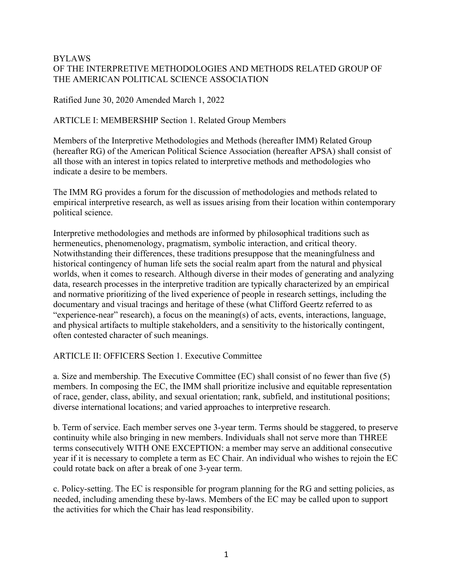### BYLAWS OF THE INTERPRETIVE METHODOLOGIES AND METHODS RELATED GROUP OF THE AMERICAN POLITICAL SCIENCE ASSOCIATION

Ratified June 30, 2020 Amended March 1, 2022

### ARTICLE I: MEMBERSHIP Section 1. Related Group Members

Members of the Interpretive Methodologies and Methods (hereafter IMM) Related Group (hereafter RG) of the American Political Science Association (hereafter APSA) shall consist of all those with an interest in topics related to interpretive methods and methodologies who indicate a desire to be members.

The IMM RG provides a forum for the discussion of methodologies and methods related to empirical interpretive research, as well as issues arising from their location within contemporary political science.

Interpretive methodologies and methods are informed by philosophical traditions such as hermeneutics, phenomenology, pragmatism, symbolic interaction, and critical theory. Notwithstanding their differences, these traditions presuppose that the meaningfulness and historical contingency of human life sets the social realm apart from the natural and physical worlds, when it comes to research. Although diverse in their modes of generating and analyzing data, research processes in the interpretive tradition are typically characterized by an empirical and normative prioritizing of the lived experience of people in research settings, including the documentary and visual tracings and heritage of these (what Clifford Geertz referred to as "experience-near" research), a focus on the meaning(s) of acts, events, interactions, language, and physical artifacts to multiple stakeholders, and a sensitivity to the historically contingent, often contested character of such meanings.

ARTICLE II: OFFICERS Section 1. Executive Committee

a. Size and membership. The Executive Committee (EC) shall consist of no fewer than five (5) members. In composing the EC, the IMM shall prioritize inclusive and equitable representation of race, gender, class, ability, and sexual orientation; rank, subfield, and institutional positions; diverse international locations; and varied approaches to interpretive research.

b. Term of service. Each member serves one 3-year term. Terms should be staggered, to preserve continuity while also bringing in new members. Individuals shall not serve more than THREE terms consecutively WITH ONE EXCEPTION: a member may serve an additional consecutive year if it is necessary to complete a term as EC Chair. An individual who wishes to rejoin the EC could rotate back on after a break of one 3-year term.

c. Policy-setting. The EC is responsible for program planning for the RG and setting policies, as needed, including amending these by-laws. Members of the EC may be called upon to support the activities for which the Chair has lead responsibility.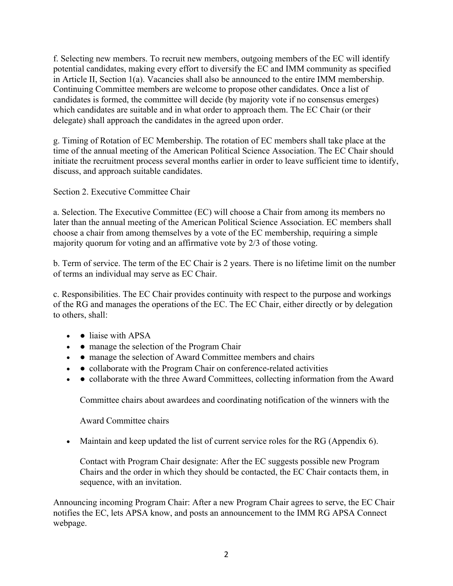f. Selecting new members. To recruit new members, outgoing members of the EC will identify potential candidates, making every effort to diversify the EC and IMM community as specified in Article II, Section 1(a). Vacancies shall also be announced to the entire IMM membership. Continuing Committee members are welcome to propose other candidates. Once a list of candidates is formed, the committee will decide (by majority vote if no consensus emerges) which candidates are suitable and in what order to approach them. The EC Chair (or their delegate) shall approach the candidates in the agreed upon order.

g. Timing of Rotation of EC Membership. The rotation of EC members shall take place at the time of the annual meeting of the American Political Science Association. The EC Chair should initiate the recruitment process several months earlier in order to leave sufficient time to identify, discuss, and approach suitable candidates.

Section 2. Executive Committee Chair

a. Selection. The Executive Committee (EC) will choose a Chair from among its members no later than the annual meeting of the American Political Science Association. EC members shall choose a chair from among themselves by a vote of the EC membership, requiring a simple majority quorum for voting and an affirmative vote by 2/3 of those voting.

b. Term of service. The term of the EC Chair is 2 years. There is no lifetime limit on the number of terms an individual may serve as EC Chair.

c. Responsibilities. The EC Chair provides continuity with respect to the purpose and workings of the RG and manages the operations of the EC. The EC Chair, either directly or by delegation to others, shall:

- • liaise with APSA
- • manage the selection of the Program Chair
- • manage the selection of Award Committee members and chairs
- • collaborate with the Program Chair on conference-related activities
- • collaborate with the three Award Committees, collecting information from the Award

Committee chairs about awardees and coordinating notification of the winners with the

Award Committee chairs

• Maintain and keep updated the list of current service roles for the RG (Appendix  $6$ ).

Contact with Program Chair designate: After the EC suggests possible new Program Chairs and the order in which they should be contacted, the EC Chair contacts them, in sequence, with an invitation.

Announcing incoming Program Chair: After a new Program Chair agrees to serve, the EC Chair notifies the EC, lets APSA know, and posts an announcement to the IMM RG APSA Connect webpage.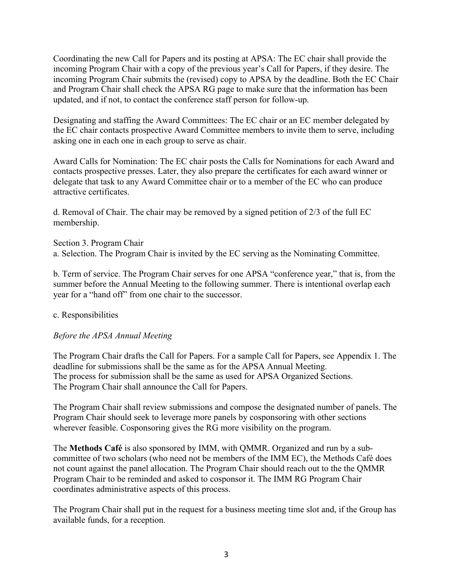Coordinating the new Call for Papers and its posting at APSA: The EC chair shall provide the incoming Program Chair with a copy of the previous year's Call for Papers, if they desire. The incoming Program Chair submits the (revised) copy to APSA by the deadline. Both the EC Chair and Program Chair shall check the APSA RG page to make sure that the information has been updated, and if not, to contact the conference staff person for follow-up.

Designating and staffing the Award Committees: The EC chair or an EC member delegated by the EC chair contacts prospective Award Committee members to invite them to serve, including asking one in each one in each group to serve as chair.

Award Calls for Nomination: The EC chair posts the Calls for Nominations for each Award and contacts prospective presses. Later, they also prepare the certificates for each award winner or delegate that task to any Award Committee chair or to a member of the EC who can produce attractive certificates.

d. Removal of Chair. The chair may be removed by a signed petition of 2/3 of the full EC membership.

Section 3. Program Chair a. Selection. The Program Chair is invited by the EC serving as the Nominating Committee.

b. Term of service. The Program Chair serves for one APSA "conference year," that is, from the summer before the Annual Meeting to the following summer. There is intentional overlap each year for a "hand off" from one chair to the successor.

#### c. Responsibilities

### *Before the APSA Annual Meeting*

The Program Chair drafts the Call for Papers. For a sample Call for Papers, see Appendix 1. The deadline for submissions shall be the same as for the APSA Annual Meeting. The process for submission shall be the same as used for APSA Organized Sections. The Program Chair shall announce the Call for Papers.

The Program Chair shall review submissions and compose the designated number of panels. The Program Chair should seek to leverage more panels by cosponsoring with other sections wherever feasible. Cosponsoring gives the RG more visibility on the program.

The **Methods Café** is also sponsored by IMM, with QMMR. Organized and run by a subcommittee of two scholars (who need not be members of the IMM EC), the Methods Café does not count against the panel allocation. The Program Chair should reach out to the the QMMR Program Chair to be reminded and asked to cosponsor it. The IMM RG Program Chair coordinates administrative aspects of this process.

The Program Chair shall put in the request for a business meeting time slot and, if the Group has available funds, for a reception.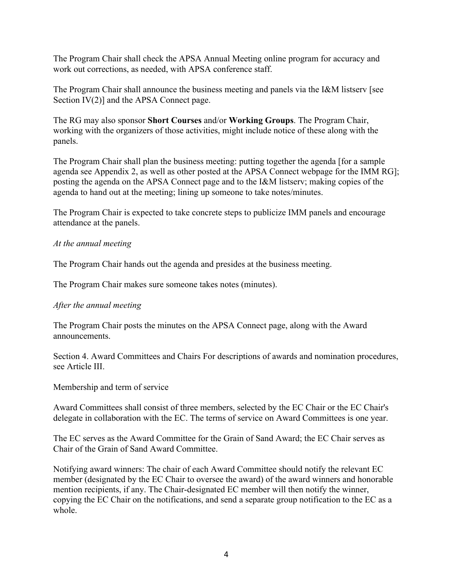The Program Chair shall check the APSA Annual Meeting online program for accuracy and work out corrections, as needed, with APSA conference staff.

The Program Chair shall announce the business meeting and panels via the I&M listserv [see Section IV(2)] and the APSA Connect page.

The RG may also sponsor **Short Courses** and/or **Working Groups**. The Program Chair, working with the organizers of those activities, might include notice of these along with the panels.

The Program Chair shall plan the business meeting: putting together the agenda [for a sample agenda see Appendix 2, as well as other posted at the APSA Connect webpage for the IMM RG]; posting the agenda on the APSA Connect page and to the I&M listserv; making copies of the agenda to hand out at the meeting; lining up someone to take notes/minutes.

The Program Chair is expected to take concrete steps to publicize IMM panels and encourage attendance at the panels.

### *At the annual meeting*

The Program Chair hands out the agenda and presides at the business meeting.

The Program Chair makes sure someone takes notes (minutes).

### *After the annual meeting*

The Program Chair posts the minutes on the APSA Connect page, along with the Award announcements.

Section 4. Award Committees and Chairs For descriptions of awards and nomination procedures, see Article III.

Membership and term of service

Award Committees shall consist of three members, selected by the EC Chair or the EC Chair's delegate in collaboration with the EC. The terms of service on Award Committees is one year.

The EC serves as the Award Committee for the Grain of Sand Award; the EC Chair serves as Chair of the Grain of Sand Award Committee.

Notifying award winners: The chair of each Award Committee should notify the relevant EC member (designated by the EC Chair to oversee the award) of the award winners and honorable mention recipients, if any. The Chair-designated EC member will then notify the winner, copying the EC Chair on the notifications, and send a separate group notification to the EC as a whole.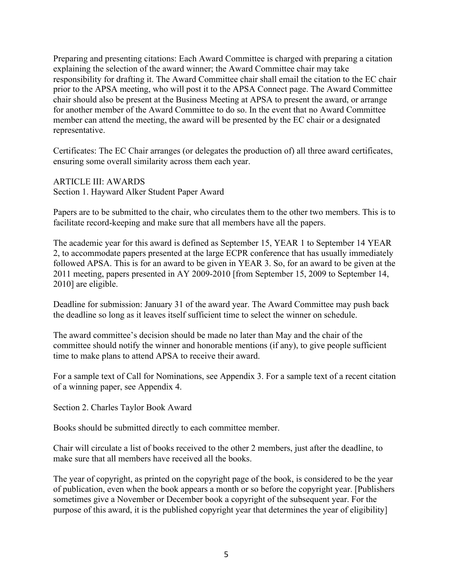Preparing and presenting citations: Each Award Committee is charged with preparing a citation explaining the selection of the award winner; the Award Committee chair may take responsibility for drafting it. The Award Committee chair shall email the citation to the EC chair prior to the APSA meeting, who will post it to the APSA Connect page. The Award Committee chair should also be present at the Business Meeting at APSA to present the award, or arrange for another member of the Award Committee to do so. In the event that no Award Committee member can attend the meeting, the award will be presented by the EC chair or a designated representative.

Certificates: The EC Chair arranges (or delegates the production of) all three award certificates, ensuring some overall similarity across them each year.

ARTICLE III: AWARDS Section 1. Hayward Alker Student Paper Award

Papers are to be submitted to the chair, who circulates them to the other two members. This is to facilitate record-keeping and make sure that all members have all the papers.

The academic year for this award is defined as September 15, YEAR 1 to September 14 YEAR 2, to accommodate papers presented at the large ECPR conference that has usually immediately followed APSA. This is for an award to be given in YEAR 3. So, for an award to be given at the 2011 meeting, papers presented in AY 2009-2010 [from September 15, 2009 to September 14, 2010] are eligible.

Deadline for submission: January 31 of the award year. The Award Committee may push back the deadline so long as it leaves itself sufficient time to select the winner on schedule.

The award committee's decision should be made no later than May and the chair of the committee should notify the winner and honorable mentions (if any), to give people sufficient time to make plans to attend APSA to receive their award.

For a sample text of Call for Nominations, see Appendix 3. For a sample text of a recent citation of a winning paper, see Appendix 4.

Section 2. Charles Taylor Book Award

Books should be submitted directly to each committee member.

Chair will circulate a list of books received to the other 2 members, just after the deadline, to make sure that all members have received all the books.

The year of copyright, as printed on the copyright page of the book, is considered to be the year of publication, even when the book appears a month or so before the copyright year. [Publishers sometimes give a November or December book a copyright of the subsequent year. For the purpose of this award, it is the published copyright year that determines the year of eligibility]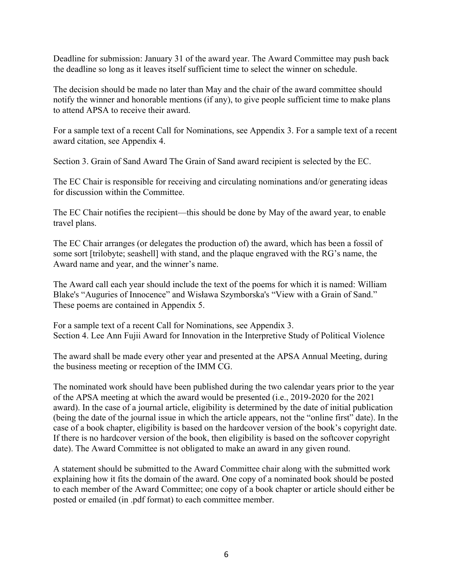Deadline for submission: January 31 of the award year. The Award Committee may push back the deadline so long as it leaves itself sufficient time to select the winner on schedule.

The decision should be made no later than May and the chair of the award committee should notify the winner and honorable mentions (if any), to give people sufficient time to make plans to attend APSA to receive their award.

For a sample text of a recent Call for Nominations, see Appendix 3. For a sample text of a recent award citation, see Appendix 4.

Section 3. Grain of Sand Award The Grain of Sand award recipient is selected by the EC.

The EC Chair is responsible for receiving and circulating nominations and/or generating ideas for discussion within the Committee.

The EC Chair notifies the recipient—this should be done by May of the award year, to enable travel plans.

The EC Chair arranges (or delegates the production of) the award, which has been a fossil of some sort [trilobyte; seashell] with stand, and the plaque engraved with the RG's name, the Award name and year, and the winner's name.

The Award call each year should include the text of the poems for which it is named: William Blake's "Auguries of Innocence" and Wisława Szymborska's "View with a Grain of Sand." These poems are contained in Appendix 5.

For a sample text of a recent Call for Nominations, see Appendix 3. Section 4. Lee Ann Fujii Award for Innovation in the Interpretive Study of Political Violence

The award shall be made every other year and presented at the APSA Annual Meeting, during the business meeting or reception of the IMM CG.

The nominated work should have been published during the two calendar years prior to the year of the APSA meeting at which the award would be presented (i.e., 2019-2020 for the 2021 award). In the case of a journal article, eligibility is determined by the date of initial publication (being the date of the journal issue in which the article appears, not the "online first" date). In the case of a book chapter, eligibility is based on the hardcover version of the book's copyright date. If there is no hardcover version of the book, then eligibility is based on the softcover copyright date). The Award Committee is not obligated to make an award in any given round.

A statement should be submitted to the Award Committee chair along with the submitted work explaining how it fits the domain of the award. One copy of a nominated book should be posted to each member of the Award Committee; one copy of a book chapter or article should either be posted or emailed (in .pdf format) to each committee member.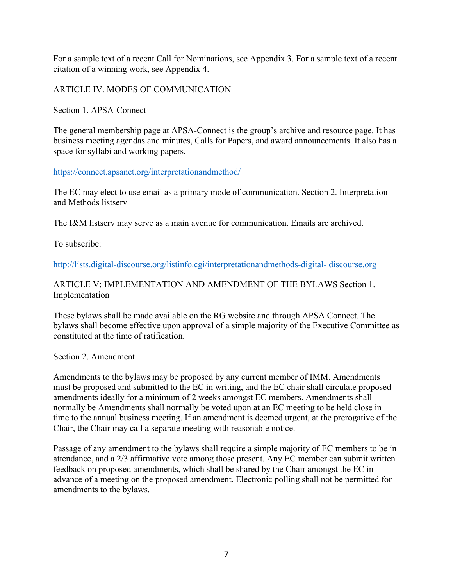For a sample text of a recent Call for Nominations, see Appendix 3. For a sample text of a recent citation of a winning work, see Appendix 4.

ARTICLE IV. MODES OF COMMUNICATION

Section 1. APSA-Connect

The general membership page at APSA-Connect is the group's archive and resource page. It has business meeting agendas and minutes, Calls for Papers, and award announcements. It also has a space for syllabi and working papers.

https://connect.apsanet.org/interpretationandmethod/

The EC may elect to use email as a primary mode of communication. Section 2. Interpretation and Methods listserv

The I&M listserv may serve as a main avenue for communication. Emails are archived.

To subscribe:

http://lists.digital-discourse.org/listinfo.cgi/interpretationandmethods-digital- discourse.org

### ARTICLE V: IMPLEMENTATION AND AMENDMENT OF THE BYLAWS Section 1. Implementation

These bylaws shall be made available on the RG website and through APSA Connect. The bylaws shall become effective upon approval of a simple majority of the Executive Committee as constituted at the time of ratification.

#### Section 2. Amendment

Amendments to the bylaws may be proposed by any current member of IMM. Amendments must be proposed and submitted to the EC in writing, and the EC chair shall circulate proposed amendments ideally for a minimum of 2 weeks amongst EC members. Amendments shall normally be Amendments shall normally be voted upon at an EC meeting to be held close in time to the annual business meeting. If an amendment is deemed urgent, at the prerogative of the Chair, the Chair may call a separate meeting with reasonable notice.

Passage of any amendment to the bylaws shall require a simple majority of EC members to be in attendance, and a 2/3 affirmative vote among those present. Any EC member can submit written feedback on proposed amendments, which shall be shared by the Chair amongst the EC in advance of a meeting on the proposed amendment. Electronic polling shall not be permitted for amendments to the bylaws.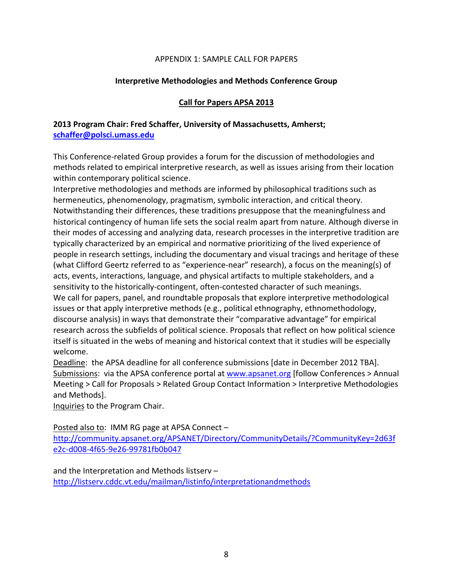#### APPENDIX 1: SAMPLE CALL FOR PAPERS

#### **Interpretive Methodologies and Methods Conference Group**

#### **Call for Papers APSA 2013**

### **2013 Program Chair: Fred Schaffer, University of Massachusetts, Amherst; schaffer@polsci.umass.edu**

This Conference-related Group provides a forum for the discussion of methodologies and methods related to empirical interpretive research, as well as issues arising from their location within contemporary political science.

Interpretive methodologies and methods are informed by philosophical traditions such as hermeneutics, phenomenology, pragmatism, symbolic interaction, and critical theory. Notwithstanding their differences, these traditions presuppose that the meaningfulness and historical contingency of human life sets the social realm apart from nature. Although diverse in their modes of accessing and analyzing data, research processes in the interpretive tradition are typically characterized by an empirical and normative prioritizing of the lived experience of people in research settings, including the documentary and visual tracings and heritage of these (what Clifford Geertz referred to as "experience-near" research), a focus on the meaning(s) of acts, events, interactions, language, and physical artifacts to multiple stakeholders, and a sensitivity to the historically-contingent, often-contested character of such meanings. We call for papers, panel, and roundtable proposals that explore interpretive methodological issues or that apply interpretive methods (e.g., political ethnography, ethnomethodology, discourse analysis) in ways that demonstrate their "comparative advantage" for empirical research across the subfields of political science. Proposals that reflect on how political science itself is situated in the webs of meaning and historical context that it studies will be especially welcome.

Deadline: the APSA deadline for all conference submissions [date in December 2012 TBA]. Submissions: via the APSA conference portal at www.apsanet.org [follow Conferences > Annual Meeting > Call for Proposals > Related Group Contact Information > Interpretive Methodologies and Methods].

Inquiries to the Program Chair.

Posted also to: IMM RG page at APSA Connect –

http://community.apsanet.org/APSANET/Directory/CommunityDetails/?CommunityKey=2d63f e2c-d008-4f65-9e26-99781fb0b047

and the Interpretation and Methods listserv – http://listserv.cddc.vt.edu/mailman/listinfo/interpretationandmethods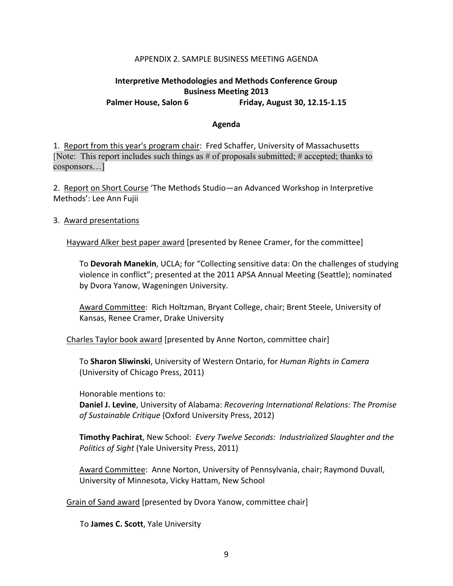#### APPENDIX 2. SAMPLE BUSINESS MEETING AGENDA

#### **Interpretive Methodologies and Methods Conference Group Business Meeting 2013** Palmer House, Salon 6 Friday, August 30, 12.15-1.15

#### **Agenda**

1. Report from this year's program chair: Fred Schaffer, University of Massachusetts [Note: This report includes such things as # of proposals submitted; # accepted; thanks to cosponsors…]

2. Report on Short Course 'The Methods Studio—an Advanced Workshop in Interpretive Methods': Lee Ann Fujii

#### 3. Award presentations

Hayward Alker best paper award [presented by Renee Cramer, for the committee]

To **Devorah Manekin**, UCLA; for "Collecting sensitive data: On the challenges of studying violence in conflict"; presented at the 2011 APSA Annual Meeting (Seattle); nominated by Dvora Yanow, Wageningen University.

Award Committee: Rich Holtzman, Bryant College, chair; Brent Steele, University of Kansas, Renee Cramer, Drake University

Charles Taylor book award [presented by Anne Norton, committee chair]

To **Sharon Sliwinski**, University of Western Ontario, for *Human Rights in Camera* (University of Chicago Press, 2011)

Honorable mentions to:

**Daniel J. Levine**, University of Alabama: *Recovering International Relations: The Promise of Sustainable Critique* (Oxford University Press, 2012)

**Timothy Pachirat**, New School: *Every Twelve Seconds: Industrialized Slaughter and the Politics of Sight* (Yale University Press, 2011)

Award Committee: Anne Norton, University of Pennsylvania, chair; Raymond Duvall, University of Minnesota, Vicky Hattam, New School

Grain of Sand award [presented by Dvora Yanow, committee chair]

To **James C. Scott**, Yale University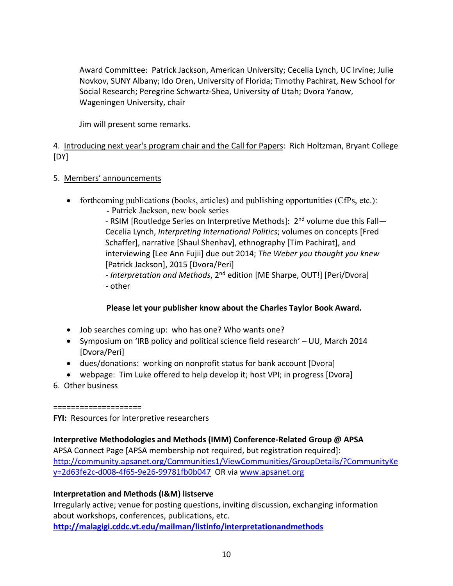Award Committee: Patrick Jackson, American University; Cecelia Lynch, UC Irvine; Julie Novkov, SUNY Albany; Ido Oren, University of Florida; Timothy Pachirat, New School for Social Research; Peregrine Schwartz-Shea, University of Utah; Dvora Yanow, Wageningen University, chair

Jim will present some remarks.

4. Introducing next year's program chair and the Call for Papers: Rich Holtzman, Bryant College [DY]

- 5. Members' announcements
	- forthcoming publications (books, articles) and publishing opportunities (CfPs, etc.): - Patrick Jackson, new book series

- RSIM [Routledge Series on Interpretive Methods]: 2<sup>nd</sup> volume due this Fall— Cecelia Lynch, *Interpreting International Politics*; volumes on concepts [Fred Schaffer], narrative [Shaul Shenhav], ethnography [Tim Pachirat], and interviewing [Lee Ann Fujii] due out 2014; *The Weber you thought you knew* [Patrick Jackson], 2015 [Dvora/Peri]

- *Interpretation and Methods*, 2nd edition [ME Sharpe, OUT!] [Peri/Dvora] - other

### **Please let your publisher know about the Charles Taylor Book Award.**

- Job searches coming up: who has one? Who wants one?
- Symposium on 'IRB policy and political science field research' UU, March 2014 [Dvora/Peri]
- dues/donations: working on nonprofit status for bank account [Dvora]
- webpage: Tim Luke offered to help develop it; host VPI; in progress [Dvora]
- 6. Other business

====================

**FYI:** Resources for interpretive researchers

# **Interpretive Methodologies and Methods (IMM) Conference-Related Group @ APSA**

APSA Connect Page [APSA membership not required, but registration required]: http://community.apsanet.org/Communities1/ViewCommunities/GroupDetails/?CommunityKe y=2d63fe2c-d008-4f65-9e26-99781fb0b047 OR via www.apsanet.org

### **Interpretation and Methods (I&M) listserve**

Irregularly active; venue for posting questions, inviting discussion, exchanging information about workshops, conferences, publications, etc.

**http://malagigi.cddc.vt.edu/mailman/listinfo/interpretationandmethods**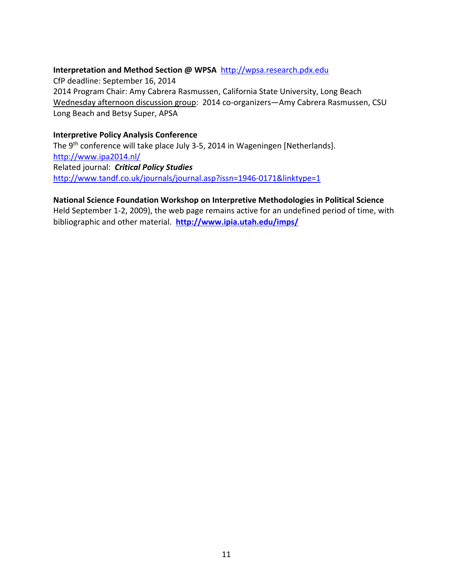### **Interpretation and Method Section @ WPSA** http://wpsa.research.pdx.edu

CfP deadline: September 16, 2014 2014 Program Chair: Amy Cabrera Rasmussen, California State University, Long Beach Wednesday afternoon discussion group: 2014 co-organizers—Amy Cabrera Rasmussen, CSU Long Beach and Betsy Super, APSA

#### **Interpretive Policy Analysis Conference**

The 9<sup>th</sup> conference will take place July 3-5, 2014 in Wageningen [Netherlands]. http://www.ipa2014.nl/ Related journal: *Critical Policy Studies* http://www.tandf.co.uk/journals/journal.asp?issn=1946-0171&linktype=1

## **National Science Foundation Workshop on Interpretive Methodologies in Political Science**

Held September 1-2, 2009), the web page remains active for an undefined period of time, with bibliographic and other material. **http://www.ipia.utah.edu/imps/**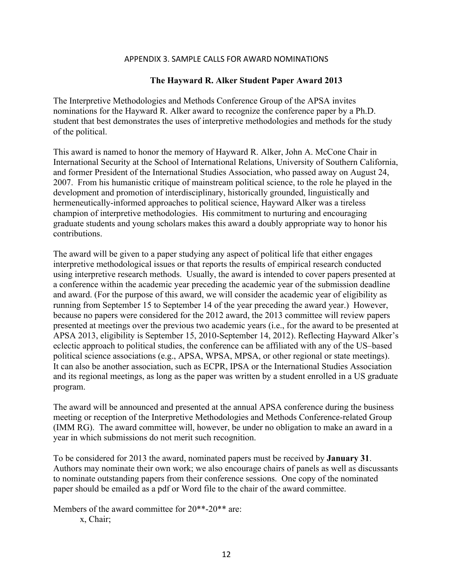#### APPENDIX 3. SAMPLE CALLS FOR AWARD NOMINATIONS

#### **The Hayward R. Alker Student Paper Award 2013**

The Interpretive Methodologies and Methods Conference Group of the APSA invites nominations for the Hayward R. Alker award to recognize the conference paper by a Ph.D. student that best demonstrates the uses of interpretive methodologies and methods for the study of the political.

This award is named to honor the memory of Hayward R. Alker, John A. McCone Chair in International Security at the School of International Relations, University of Southern California, and former President of the International Studies Association, who passed away on August 24, 2007. From his humanistic critique of mainstream political science, to the role he played in the development and promotion of interdisciplinary, historically grounded, linguistically and hermeneutically-informed approaches to political science, Hayward Alker was a tireless champion of interpretive methodologies. His commitment to nurturing and encouraging graduate students and young scholars makes this award a doubly appropriate way to honor his contributions.

The award will be given to a paper studying any aspect of political life that either engages interpretive methodological issues or that reports the results of empirical research conducted using interpretive research methods. Usually, the award is intended to cover papers presented at a conference within the academic year preceding the academic year of the submission deadline and award. (For the purpose of this award, we will consider the academic year of eligibility as running from September 15 to September 14 of the year preceding the award year.) However, because no papers were considered for the 2012 award, the 2013 committee will review papers presented at meetings over the previous two academic years (i.e., for the award to be presented at APSA 2013, eligibility is September 15, 2010-September 14, 2012). Reflecting Hayward Alker's eclectic approach to political studies, the conference can be affiliated with any of the US–based political science associations (e.g., APSA, WPSA, MPSA, or other regional or state meetings). It can also be another association, such as ECPR, IPSA or the International Studies Association and its regional meetings, as long as the paper was written by a student enrolled in a US graduate program.

The award will be announced and presented at the annual APSA conference during the business meeting or reception of the Interpretive Methodologies and Methods Conference-related Group (IMM RG). The award committee will, however, be under no obligation to make an award in a year in which submissions do not merit such recognition.

To be considered for 2013 the award, nominated papers must be received by **January 31**. Authors may nominate their own work; we also encourage chairs of panels as well as discussants to nominate outstanding papers from their conference sessions. One copy of the nominated paper should be emailed as a pdf or Word file to the chair of the award committee.

Members of the award committee for 20\*\*-20\*\* are:

x, Chair;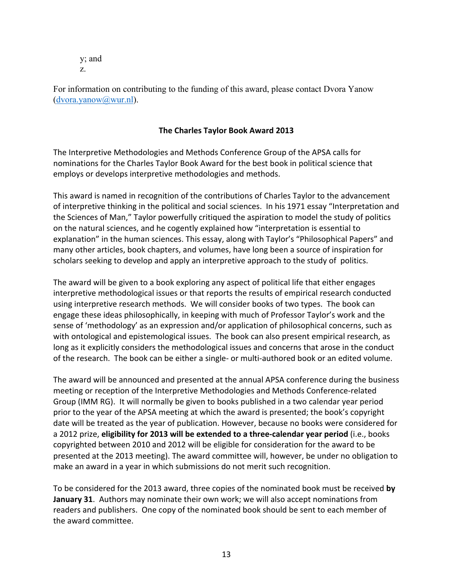y; and z.

For information on contributing to the funding of this award, please contact Dvora Yanow (dvora.yanow@wur.nl).

### **The Charles Taylor Book Award 2013**

The Interpretive Methodologies and Methods Conference Group of the APSA calls for nominations for the Charles Taylor Book Award for the best book in political science that employs or develops interpretive methodologies and methods.

This award is named in recognition of the contributions of Charles Taylor to the advancement of interpretive thinking in the political and social sciences. In his 1971 essay "Interpretation and the Sciences of Man," Taylor powerfully critiqued the aspiration to model the study of politics on the natural sciences, and he cogently explained how "interpretation is essential to explanation" in the human sciences. This essay, along with Taylor's "Philosophical Papers" and many other articles, book chapters, and volumes, have long been a source of inspiration for scholars seeking to develop and apply an interpretive approach to the study of politics.

The award will be given to a book exploring any aspect of political life that either engages interpretive methodological issues or that reports the results of empirical research conducted using interpretive research methods. We will consider books of two types. The book can engage these ideas philosophically, in keeping with much of Professor Taylor's work and the sense of 'methodology' as an expression and/or application of philosophical concerns, such as with ontological and epistemological issues. The book can also present empirical research, as long as it explicitly considers the methodological issues and concerns that arose in the conduct of the research. The book can be either a single- or multi-authored book or an edited volume.

The award will be announced and presented at the annual APSA conference during the business meeting or reception of the Interpretive Methodologies and Methods Conference-related Group (IMM RG). It will normally be given to books published in a two calendar year period prior to the year of the APSA meeting at which the award is presented; the book's copyright date will be treated as the year of publication. However, because no books were considered for a 2012 prize, **eligibility for 2013 will be extended to a three-calendar year period** (i.e., books copyrighted between 2010 and 2012 will be eligible for consideration for the award to be presented at the 2013 meeting). The award committee will, however, be under no obligation to make an award in a year in which submissions do not merit such recognition.

To be considered for the 2013 award, three copies of the nominated book must be received **by January 31**. Authors may nominate their own work; we will also accept nominations from readers and publishers. One copy of the nominated book should be sent to each member of the award committee.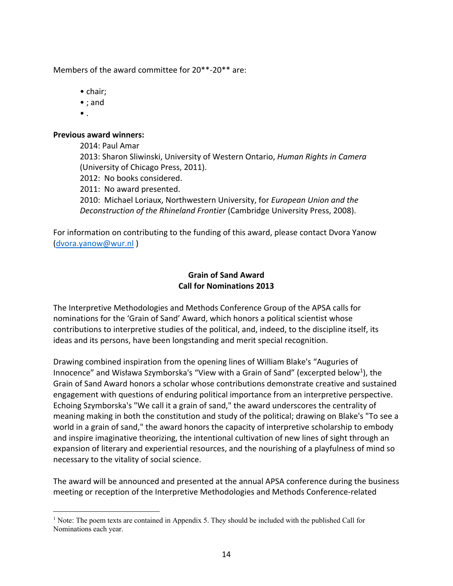Members of the award committee for 20\*\*-20\*\* are:

- chair;
- ; and
- $\bullet$  .

#### **Previous award winners:**

2014: Paul Amar 2013: Sharon Sliwinski, University of Western Ontario, *Human Rights in Camera* (University of Chicago Press, 2011). 2012: No books considered. 2011: No award presented. 2010: Michael Loriaux, Northwestern University, for *European Union and the Deconstruction of the Rhineland Frontier* (Cambridge University Press, 2008).

For information on contributing to the funding of this award, please contact Dvora Yanow (dvora.yanow@wur.nl )

### **Grain of Sand Award Call for Nominations 2013**

The Interpretive Methodologies and Methods Conference Group of the APSA calls for nominations for the 'Grain of Sand' Award, which honors a political scientist whose contributions to interpretive studies of the political, and, indeed, to the discipline itself, its ideas and its persons, have been longstanding and merit special recognition.

Drawing combined inspiration from the opening lines of William Blake's "Auguries of Innocence" and Wisława Szymborska's "View with a Grain of Sand" (excerpted below<sup>1</sup>), the Grain of Sand Award honors a scholar whose contributions demonstrate creative and sustained engagement with questions of enduring political importance from an interpretive perspective. Echoing Szymborska's "We call it a grain of sand," the award underscores the centrality of meaning making in both the constitution and study of the political; drawing on Blake's "To see a world in a grain of sand," the award honors the capacity of interpretive scholarship to embody and inspire imaginative theorizing, the intentional cultivation of new lines of sight through an expansion of literary and experiential resources, and the nourishing of a playfulness of mind so necessary to the vitality of social science.

The award will be announced and presented at the annual APSA conference during the business meeting or reception of the Interpretive Methodologies and Methods Conference-related

<sup>1</sup> Note: The poem texts are contained in Appendix 5. They should be included with the published Call for Nominations each year.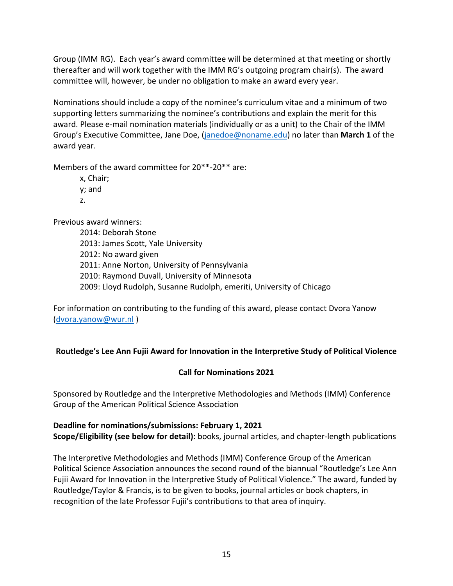Group (IMM RG). Each year's award committee will be determined at that meeting or shortly thereafter and will work together with the IMM RG's outgoing program chair(s). The award committee will, however, be under no obligation to make an award every year.

Nominations should include a copy of the nominee's curriculum vitae and a minimum of two supporting letters summarizing the nominee's contributions and explain the merit for this award. Please e-mail nomination materials (individually or as a unit) to the Chair of the IMM Group's Executive Committee, Jane Doe, (janedoe@noname.edu) no later than **March 1** of the award year.

Members of the award committee for 20\*\*-20\*\* are:

x, Chair; y; and z.

Previous award winners:

2014: Deborah Stone 2013: James Scott, Yale University 2012: No award given 2011: Anne Norton, University of Pennsylvania 2010: Raymond Duvall, University of Minnesota 2009: Lloyd Rudolph, Susanne Rudolph, emeriti, University of Chicago

For information on contributing to the funding of this award, please contact Dvora Yanow (dvora.yanow@wur.nl )

# **Routledge's Lee Ann Fujii Award for Innovation in the Interpretive Study of Political Violence**

# **Call for Nominations 2021**

Sponsored by Routledge and the Interpretive Methodologies and Methods (IMM) Conference Group of the American Political Science Association

## **Deadline for nominations/submissions: February 1, 2021 Scope/Eligibility (see below for detail)**: books, journal articles, and chapter-length publications

The Interpretive Methodologies and Methods (IMM) Conference Group of the American Political Science Association announces the second round of the biannual "Routledge's Lee Ann Fujii Award for Innovation in the Interpretive Study of Political Violence." The award, funded by Routledge/Taylor & Francis, is to be given to books, journal articles or book chapters, in recognition of the late Professor Fujii's contributions to that area of inquiry.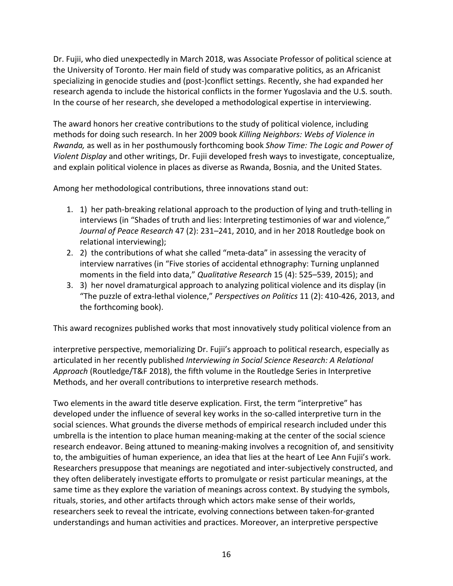Dr. Fujii, who died unexpectedly in March 2018, was Associate Professor of political science at the University of Toronto. Her main field of study was comparative politics, as an Africanist specializing in genocide studies and (post-)conflict settings. Recently, she had expanded her research agenda to include the historical conflicts in the former Yugoslavia and the U.S. south. In the course of her research, she developed a methodological expertise in interviewing.

The award honors her creative contributions to the study of political violence, including methods for doing such research. In her 2009 book *Killing Neighbors: Webs of Violence in Rwanda,* as well as in her posthumously forthcoming book *Show Time: The Logic and Power of Violent Display* and other writings, Dr. Fujii developed fresh ways to investigate, conceptualize, and explain political violence in places as diverse as Rwanda, Bosnia, and the United States.

Among her methodological contributions, three innovations stand out:

- 1. 1) her path-breaking relational approach to the production of lying and truth-telling in interviews (in "Shades of truth and lies: Interpreting testimonies of war and violence," *Journal of Peace Research* 47 (2): 231–241, 2010, and in her 2018 Routledge book on relational interviewing);
- 2. 2) the contributions of what she called "meta-data" in assessing the veracity of interview narratives (in "Five stories of accidental ethnography: Turning unplanned moments in the field into data," *Qualitative Research* 15 (4): 525–539, 2015); and
- 3. 3) her novel dramaturgical approach to analyzing political violence and its display (in "The puzzle of extra-lethal violence," *Perspectives on Politics* 11 (2): 410-426, 2013, and the forthcoming book).

This award recognizes published works that most innovatively study political violence from an

interpretive perspective, memorializing Dr. Fujii's approach to political research, especially as articulated in her recently published *Interviewing in Social Science Research: A Relational Approach* (Routledge/T&F 2018), the fifth volume in the Routledge Series in Interpretive Methods, and her overall contributions to interpretive research methods.

Two elements in the award title deserve explication. First, the term "interpretive" has developed under the influence of several key works in the so-called interpretive turn in the social sciences. What grounds the diverse methods of empirical research included under this umbrella is the intention to place human meaning-making at the center of the social science research endeavor. Being attuned to meaning-making involves a recognition of, and sensitivity to, the ambiguities of human experience, an idea that lies at the heart of Lee Ann Fujii's work. Researchers presuppose that meanings are negotiated and inter-subjectively constructed, and they often deliberately investigate efforts to promulgate or resist particular meanings, at the same time as they explore the variation of meanings across context. By studying the symbols, rituals, stories, and other artifacts through which actors make sense of their worlds, researchers seek to reveal the intricate, evolving connections between taken-for-granted understandings and human activities and practices. Moreover, an interpretive perspective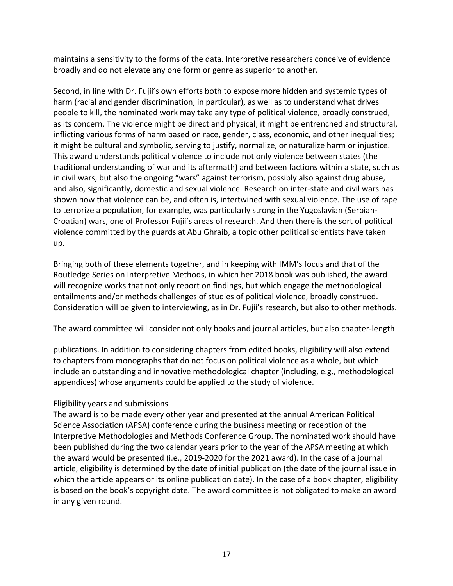maintains a sensitivity to the forms of the data. Interpretive researchers conceive of evidence broadly and do not elevate any one form or genre as superior to another.

Second, in line with Dr. Fujii's own efforts both to expose more hidden and systemic types of harm (racial and gender discrimination, in particular), as well as to understand what drives people to kill, the nominated work may take any type of political violence, broadly construed, as its concern. The violence might be direct and physical; it might be entrenched and structural, inflicting various forms of harm based on race, gender, class, economic, and other inequalities; it might be cultural and symbolic, serving to justify, normalize, or naturalize harm or injustice. This award understands political violence to include not only violence between states (the traditional understanding of war and its aftermath) and between factions within a state, such as in civil wars, but also the ongoing "wars" against terrorism, possibly also against drug abuse, and also, significantly, domestic and sexual violence. Research on inter-state and civil wars has shown how that violence can be, and often is, intertwined with sexual violence. The use of rape to terrorize a population, for example, was particularly strong in the Yugoslavian (Serbian-Croatian) wars, one of Professor Fujii's areas of research. And then there is the sort of political violence committed by the guards at Abu Ghraib, a topic other political scientists have taken up.

Bringing both of these elements together, and in keeping with IMM's focus and that of the Routledge Series on Interpretive Methods, in which her 2018 book was published, the award will recognize works that not only report on findings, but which engage the methodological entailments and/or methods challenges of studies of political violence, broadly construed. Consideration will be given to interviewing, as in Dr. Fujii's research, but also to other methods.

The award committee will consider not only books and journal articles, but also chapter-length

publications. In addition to considering chapters from edited books, eligibility will also extend to chapters from monographs that do not focus on political violence as a whole, but which include an outstanding and innovative methodological chapter (including, e.g., methodological appendices) whose arguments could be applied to the study of violence.

# Eligibility years and submissions

The award is to be made every other year and presented at the annual American Political Science Association (APSA) conference during the business meeting or reception of the Interpretive Methodologies and Methods Conference Group. The nominated work should have been published during the two calendar years prior to the year of the APSA meeting at which the award would be presented (i.e., 2019-2020 for the 2021 award). In the case of a journal article, eligibility is determined by the date of initial publication (the date of the journal issue in which the article appears or its online publication date). In the case of a book chapter, eligibility is based on the book's copyright date. The award committee is not obligated to make an award in any given round.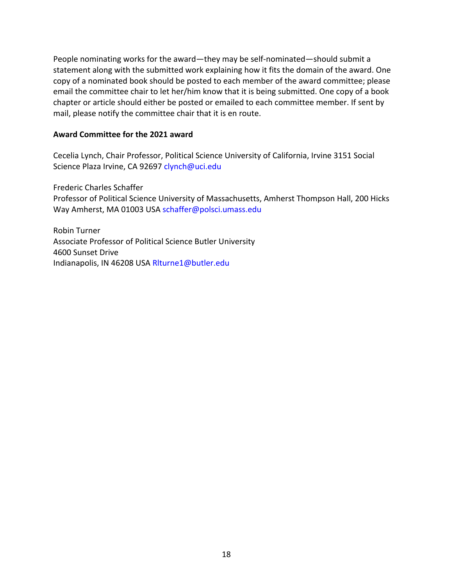People nominating works for the award—they may be self-nominated—should submit a statement along with the submitted work explaining how it fits the domain of the award. One copy of a nominated book should be posted to each member of the award committee; please email the committee chair to let her/him know that it is being submitted. One copy of a book chapter or article should either be posted or emailed to each committee member. If sent by mail, please notify the committee chair that it is en route.

#### **Award Committee for the 2021 award**

Cecelia Lynch, Chair Professor, Political Science University of California, Irvine 3151 Social Science Plaza Irvine, CA 92697 clynch@uci.edu

Frederic Charles Schaffer

Professor of Political Science University of Massachusetts, Amherst Thompson Hall, 200 Hicks Way Amherst, MA 01003 USA schaffer@polsci.umass.edu

Robin Turner Associate Professor of Political Science Butler University 4600 Sunset Drive Indianapolis, IN 46208 USA Rlturne1@butler.edu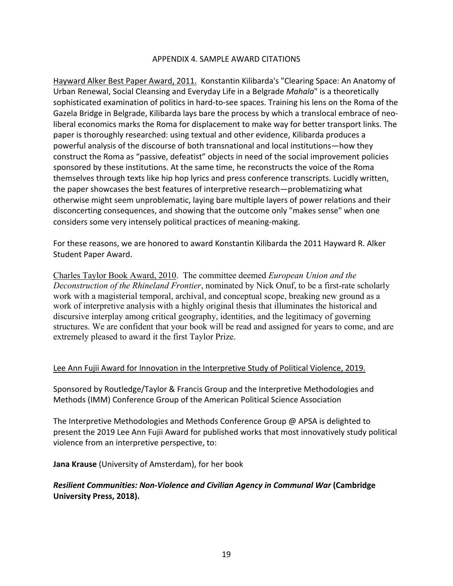#### APPENDIX 4. SAMPLE AWARD CITATIONS

Hayward Alker Best Paper Award, 2011.Konstantin Kilibarda's "Clearing Space: An Anatomy of Urban Renewal, Social Cleansing and Everyday Life in a Belgrade *Mahala*" is a theoretically sophisticated examination of politics in hard-to-see spaces. Training his lens on the Roma of the Gazela Bridge in Belgrade, Kilibarda lays bare the process by which a translocal embrace of neoliberal economics marks the Roma for displacement to make way for better transport links. The paper is thoroughly researched: using textual and other evidence, Kilibarda produces a powerful analysis of the discourse of both transnational and local institutions—how they construct the Roma as "passive, defeatist" objects in need of the social improvement policies sponsored by these institutions. At the same time, he reconstructs the voice of the Roma themselves through texts like hip hop lyrics and press conference transcripts. Lucidly written, the paper showcases the best features of interpretive research—problematizing what otherwise might seem unproblematic, laying bare multiple layers of power relations and their disconcerting consequences, and showing that the outcome only "makes sense" when one considers some very intensely political practices of meaning-making.

For these reasons, we are honored to award Konstantin Kilibarda the 2011 Hayward R. Alker Student Paper Award.

Charles Taylor Book Award, 2010. The committee deemed *European Union and the Deconstruction of the Rhineland Frontier*, nominated by Nick Onuf, to be a first-rate scholarly work with a magisterial temporal, archival, and conceptual scope, breaking new ground as a work of interpretive analysis with a highly original thesis that illuminates the historical and discursive interplay among critical geography, identities, and the legitimacy of governing structures. We are confident that your book will be read and assigned for years to come, and are extremely pleased to award it the first Taylor Prize.

#### Lee Ann Fujii Award for Innovation in the Interpretive Study of Political Violence, 2019.

Sponsored by Routledge/Taylor & Francis Group and the Interpretive Methodologies and Methods (IMM) Conference Group of the American Political Science Association

The Interpretive Methodologies and Methods Conference Group @ APSA is delighted to present the 2019 Lee Ann Fujii Award for published works that most innovatively study political violence from an interpretive perspective, to:

**Jana Krause** (University of Amsterdam), for her book

## *Resilient Communities: Non-Violence and Civilian Agency in Communal War* **(Cambridge University Press, 2018).**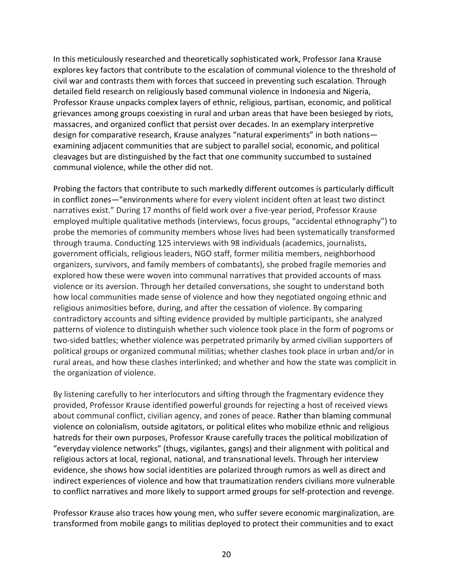In this meticulously researched and theoretically sophisticated work, Professor Jana Krause explores key factors that contribute to the escalation of communal violence to the threshold of civil war and contrasts them with forces that succeed in preventing such escalation. Through detailed field research on religiously based communal violence in Indonesia and Nigeria, Professor Krause unpacks complex layers of ethnic, religious, partisan, economic, and political grievances among groups coexisting in rural and urban areas that have been besieged by riots, massacres, and organized conflict that persist over decades. In an exemplary interpretive design for comparative research, Krause analyzes "natural experiments" in both nations examining adjacent communities that are subject to parallel social, economic, and political cleavages but are distinguished by the fact that one community succumbed to sustained communal violence, while the other did not.

Probing the factors that contribute to such markedly different outcomes is particularly difficult in conflict zones—"environments where for every violent incident often at least two distinct narratives exist." During 17 months of field work over a five-year period, Professor Krause employed multiple qualitative methods (interviews, focus groups, "accidental ethnography") to probe the memories of community members whose lives had been systematically transformed through trauma. Conducting 125 interviews with 98 individuals (academics, journalists, government officials, religious leaders, NGO staff, former militia members, neighborhood organizers, survivors, and family members of combatants), she probed fragile memories and explored how these were woven into communal narratives that provided accounts of mass violence or its aversion. Through her detailed conversations, she sought to understand both how local communities made sense of violence and how they negotiated ongoing ethnic and religious animosities before, during, and after the cessation of violence. By comparing contradictory accounts and sifting evidence provided by multiple participants, she analyzed patterns of violence to distinguish whether such violence took place in the form of pogroms or two-sided battles; whether violence was perpetrated primarily by armed civilian supporters of political groups or organized communal militias; whether clashes took place in urban and/or in rural areas, and how these clashes interlinked; and whether and how the state was complicit in the organization of violence.

By listening carefully to her interlocutors and sifting through the fragmentary evidence they provided, Professor Krause identified powerful grounds for rejecting a host of received views about communal conflict, civilian agency, and zones of peace. Rather than blaming communal violence on colonialism, outside agitators, or political elites who mobilize ethnic and religious hatreds for their own purposes, Professor Krause carefully traces the political mobilization of "everyday violence networks" (thugs, vigilantes, gangs) and their alignment with political and religious actors at local, regional, national, and transnational levels. Through her interview evidence, she shows how social identities are polarized through rumors as well as direct and indirect experiences of violence and how that traumatization renders civilians more vulnerable to conflict narratives and more likely to support armed groups for self-protection and revenge.

Professor Krause also traces how young men, who suffer severe economic marginalization, are transformed from mobile gangs to militias deployed to protect their communities and to exact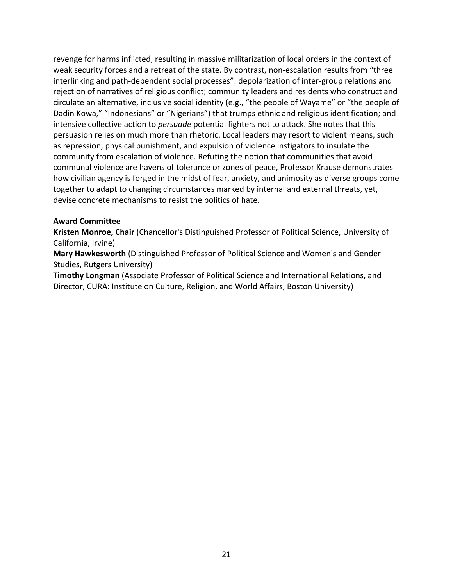revenge for harms inflicted, resulting in massive militarization of local orders in the context of weak security forces and a retreat of the state. By contrast, non-escalation results from "three interlinking and path-dependent social processes": depolarization of inter-group relations and rejection of narratives of religious conflict; community leaders and residents who construct and circulate an alternative, inclusive social identity (e.g., "the people of Wayame" or "the people of Dadin Kowa," "Indonesians" or "Nigerians") that trumps ethnic and religious identification; and intensive collective action to *persuade* potential fighters not to attack. She notes that this persuasion relies on much more than rhetoric. Local leaders may resort to violent means, such as repression, physical punishment, and expulsion of violence instigators to insulate the community from escalation of violence. Refuting the notion that communities that avoid communal violence are havens of tolerance or zones of peace, Professor Krause demonstrates how civilian agency is forged in the midst of fear, anxiety, and animosity as diverse groups come together to adapt to changing circumstances marked by internal and external threats, yet, devise concrete mechanisms to resist the politics of hate.

### **Award Committee**

**Kristen Monroe, Chair** (Chancellor's Distinguished Professor of Political Science, University of California, Irvine)

**Mary Hawkesworth** (Distinguished Professor of Political Science and Women's and Gender Studies, Rutgers University)

**Timothy Longman** (Associate Professor of Political Science and International Relations, and Director, CURA: Institute on Culture, Religion, and World Affairs, Boston University)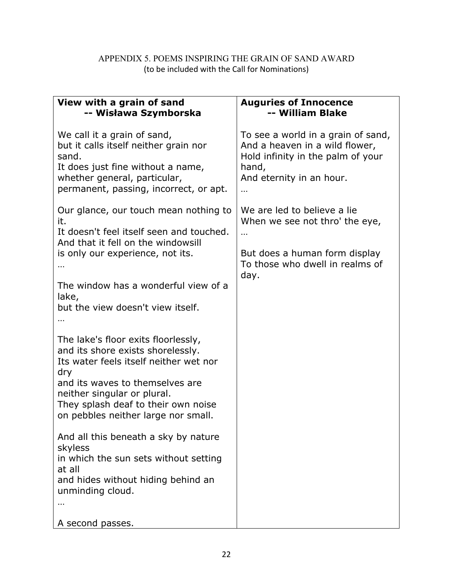# APPENDIX 5. POEMS INSPIRING THE GRAIN OF SAND AWARD (to be included with the Call for Nominations)

| View with a grain of sand                                                                                                                                                                                                                                                 | <b>Auguries of Innocence</b>       |
|---------------------------------------------------------------------------------------------------------------------------------------------------------------------------------------------------------------------------------------------------------------------------|------------------------------------|
| -- Wisława Szymborska                                                                                                                                                                                                                                                     | -- William Blake                   |
| We call it a grain of sand,                                                                                                                                                                                                                                               | To see a world in a grain of sand, |
| but it calls itself neither grain nor                                                                                                                                                                                                                                     | And a heaven in a wild flower,     |
| sand.                                                                                                                                                                                                                                                                     | Hold infinity in the palm of your  |
| It does just fine without a name,                                                                                                                                                                                                                                         | hand,                              |
| whether general, particular,                                                                                                                                                                                                                                              | And eternity in an hour.           |
| permanent, passing, incorrect, or apt.                                                                                                                                                                                                                                    | $\ddotsc$                          |
| Our glance, our touch mean nothing to                                                                                                                                                                                                                                     | We are led to believe a lie        |
| it.                                                                                                                                                                                                                                                                       | When we see not thro' the eye,     |
| It doesn't feel itself seen and touched.                                                                                                                                                                                                                                  | $\ddotsc$                          |
| And that it fell on the windowsill                                                                                                                                                                                                                                        | But does a human form display      |
| is only our experience, not its.                                                                                                                                                                                                                                          | To those who dwell in realms of    |
| The window has a wonderful view of a<br>lake,<br>but the view doesn't view itself.                                                                                                                                                                                        | day.                               |
| The lake's floor exits floorlessly,<br>and its shore exists shorelessly.<br>Its water feels itself neither wet nor<br>dry<br>and its waves to themselves are<br>neither singular or plural.<br>They splash deaf to their own noise<br>on pebbles neither large nor small. |                                    |
| And all this beneath a sky by nature<br>skyless<br>in which the sun sets without setting<br>at all<br>and hides without hiding behind an<br>unminding cloud.<br>$\cdots$<br>A second passes.                                                                              |                                    |